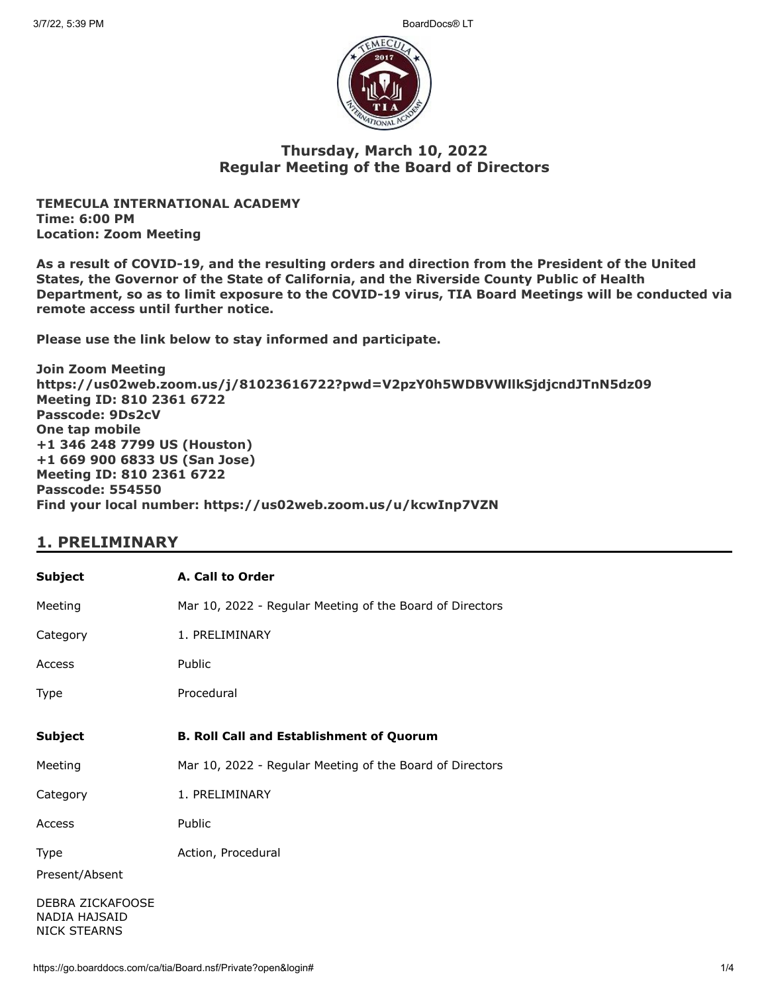

### **Thursday, March 10, 2022 Regular Meeting of the Board of Directors**

**TEMECULA INTERNATIONAL ACADEMY Time: 6:00 PM Location: Zoom Meeting**

**As a result of COVID-19, and the resulting orders and direction from the President of the United States, the Governor of the State of California, and the Riverside County Public of Health Department, so as to limit exposure to the COVID-19 virus, TIA Board Meetings will be conducted via remote access until further notice.**

**Please use the link below to stay informed and participate.** 

**Join Zoom Meeting https://us02web.zoom.us/j/81023616722?pwd=V2pzY0h5WDBVWllkSjdjcndJTnN5dz09 Meeting ID: 810 2361 6722 Passcode: 9Ds2cV One tap mobile +1 346 248 7799 US (Houston) +1 669 900 6833 US (San Jose) Meeting ID: 810 2361 6722 Passcode: 554550 Find your local number: https://us02web.zoom.us/u/kcwInp7VZN**

## **1. PRELIMINARY**

| <b>Subject</b>                                           | A. Call to Order                                         |
|----------------------------------------------------------|----------------------------------------------------------|
| Meeting                                                  | Mar 10, 2022 - Regular Meeting of the Board of Directors |
| Category                                                 | 1. PRELIMINARY                                           |
| Access                                                   | Public                                                   |
| Type                                                     | Procedural                                               |
| <b>Subject</b>                                           | <b>B. Roll Call and Establishment of Quorum</b>          |
|                                                          |                                                          |
| Meeting                                                  | Mar 10, 2022 - Regular Meeting of the Board of Directors |
| Category                                                 | 1. PRELIMINARY                                           |
| Access                                                   | Public                                                   |
| Type                                                     | Action, Procedural                                       |
| Present/Absent                                           |                                                          |
| DEBRA ZICKAFOOSE<br>NADIA HAJSAID<br><b>NICK STEARNS</b> |                                                          |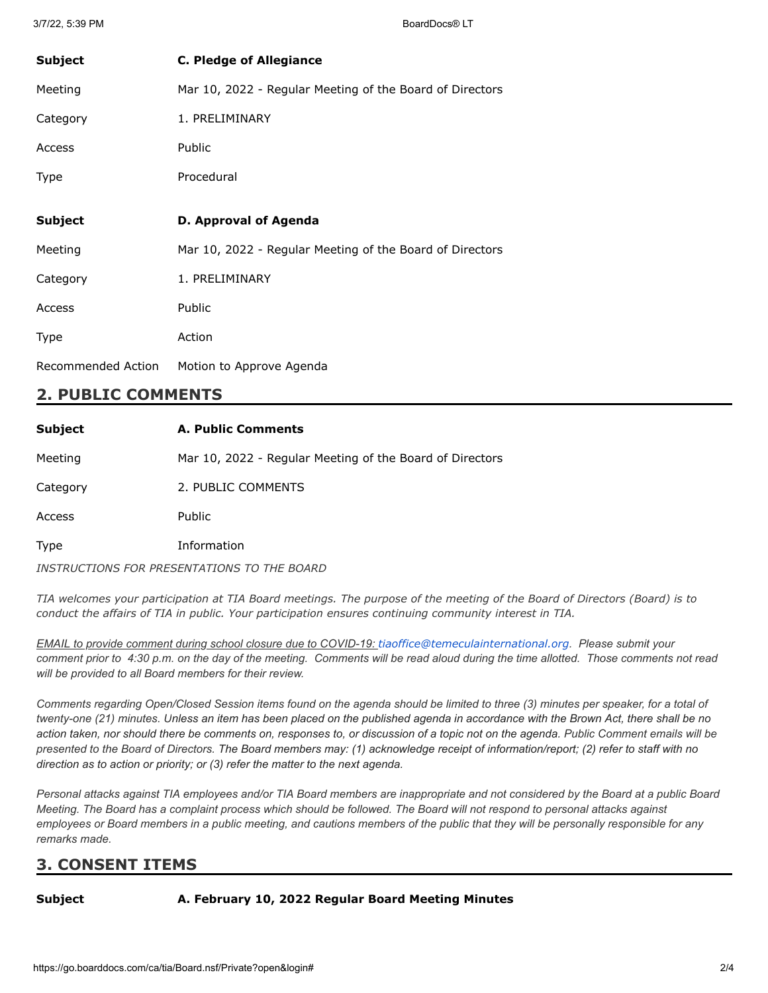| <b>Subject</b> | <b>C. Pledge of Allegiance</b>                           |
|----------------|----------------------------------------------------------|
| Meeting        | Mar 10, 2022 - Regular Meeting of the Board of Directors |
| Category       | 1. PRELIMINARY                                           |
| Access         | Public                                                   |
| Type           | Procedural                                               |
|                |                                                          |
| <b>Subject</b> | D. Approval of Agenda                                    |
|                |                                                          |
| Meeting        | Mar 10, 2022 - Regular Meeting of the Board of Directors |
| Category       | 1. PRELIMINARY                                           |
| Access         | Public                                                   |
| Type           | Action                                                   |

### **2. PUBLIC COMMENTS**

| <b>Subject</b> | <b>A. Public Comments</b>                                |
|----------------|----------------------------------------------------------|
| Meeting        | Mar 10, 2022 - Regular Meeting of the Board of Directors |
| Category       | 2. PUBLIC COMMENTS                                       |
| Access         | Public                                                   |
| <b>Type</b>    | Information                                              |
|                | INSTRUCTIONS FOR PRESENTATIONS TO THE BOARD              |

TIA welcomes your participation at TIA Board meetings. The purpose of the meeting of the Board of Directors (Board) is to *conduct the affairs of TIA in public. Your participation ensures continuing community interest in TIA.*

*EMAIL to provide comment during school closure due to COVID-19: [tiaoffice@temeculainternational.org](mailto:tiaoffice@temeculainternational.org). Please submit your comment prior to 4:30 p.m. on the day of the meeting. Comments will be read aloud during the time allotted. Those comments not read will be provided to all Board members for their review.*

*Comments regarding Open/Closed Session items found on the agenda should be limited to three (3) minutes per speaker, for a total of twenty-one (21) minutes. Unless an item has been placed on the published agenda in accordance with the Brown Act, there shall be no action taken, nor should there be comments on, responses to, or discussion of a topic not on the agenda. Public Comment emails will be presented to the Board of Directors. The Board members may: (1) acknowledge receipt of information/report; (2) refer to staff with no direction as to action or priority; or (3) refer the matter to the next agenda.*

*Personal attacks against TIA employees and/or TIA Board members are inappropriate and not considered by the Board at a public Board Meeting. The Board has a complaint process which should be followed. The Board will not respond to personal attacks against employees or Board members in a public meeting, and cautions members of the public that they will be personally responsible for any remarks made.*

## **3. CONSENT ITEMS**

#### **Subject A. February 10, 2022 Regular Board Meeting Minutes**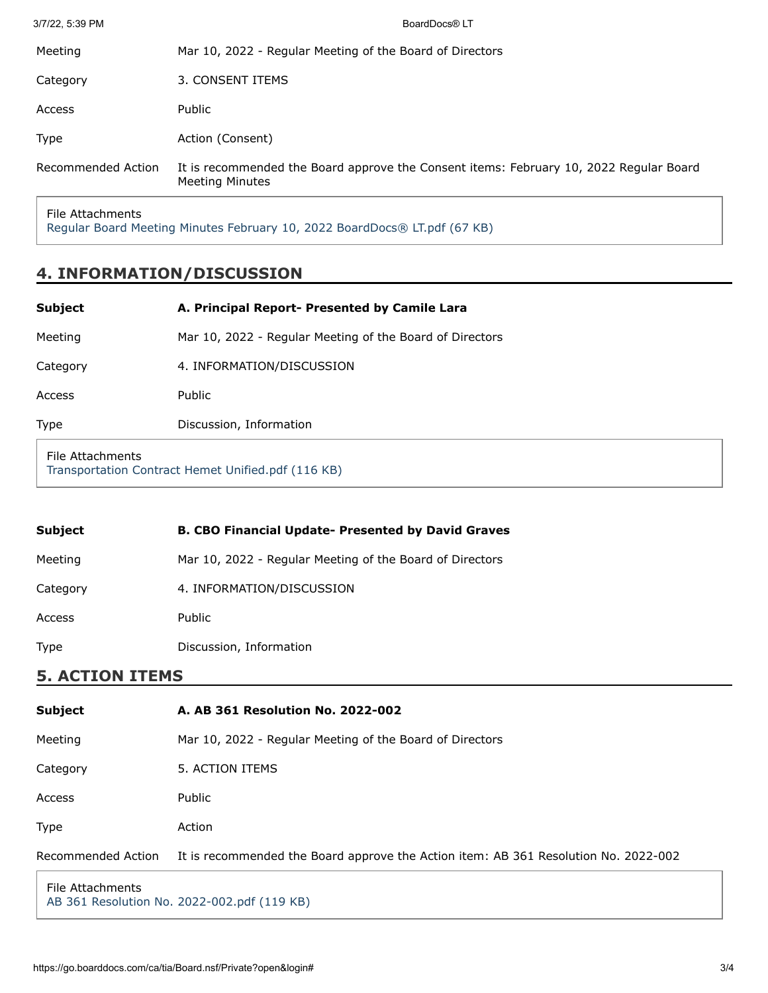| Recommended Action | It is recommended the Board approve the Consent items: February 10, 2022 Regular Board<br><b>Meeting Minutes</b> |
|--------------------|------------------------------------------------------------------------------------------------------------------|
| Type               | Action (Consent)                                                                                                 |
| Access             | Public                                                                                                           |
| Category           | 3. CONSENT ITEMS                                                                                                 |
| Meeting            | Mar 10, 2022 - Regular Meeting of the Board of Directors                                                         |
| 3/7/22, 5:39 PM    | BoardDocs® LT                                                                                                    |

File Attachments

[Regular Board Meeting Minutes February 10, 2022 BoardDocs® LT.pdf \(67 KB\)](https://go.boarddocs.com/ca/tia/Board.nsf/files/CCB2VL04097F/$file/Regular%20Board%20Meeting%20Minutes%20February%2010%2C%202022%20BoardDocs%C2%AE%20LT.pdf)

## **4. INFORMATION/DISCUSSION**

| <b>Subject</b>   | A. Principal Report- Presented by Camile Lara            |
|------------------|----------------------------------------------------------|
| Meeting          | Mar 10, 2022 - Regular Meeting of the Board of Directors |
| Category         | 4. INFORMATION/DISCUSSION                                |
| Access           | Public                                                   |
| Type             | Discussion, Information                                  |
| File Attachments | Transportation Contract Hemet Unified ndf (116 KR)       |

[Transportation Contract Hemet Unified.pdf \(116 KB\)](https://go.boarddocs.com/ca/tia/Board.nsf/files/CCB2UM03E50B/$file/Transportation%20Contract%20Hemet%20Unified.pdf)

| <b>Subject</b> | <b>B. CBO Financial Update- Presented by David Graves</b> |
|----------------|-----------------------------------------------------------|
| Meeting        | Mar 10, 2022 - Regular Meeting of the Board of Directors  |
| Category       | 4. INFORMATION/DISCUSSION                                 |
| Access         | Public                                                    |
| <b>Type</b>    | Discussion, Information                                   |

### **5. ACTION ITEMS**

| <b>Subject</b>     | A. AB 361 Resolution No. 2022-002                                                   |
|--------------------|-------------------------------------------------------------------------------------|
| Meeting            | Mar 10, 2022 - Regular Meeting of the Board of Directors                            |
| Category           | 5. ACTION ITEMS                                                                     |
| Access             | Public                                                                              |
| Type               | Action                                                                              |
| Recommended Action | It is recommended the Board approve the Action item: AB 361 Resolution No. 2022-002 |
|                    |                                                                                     |

File Attachments [AB 361 Resolution No. 2022-002.pdf \(119 KB\)](https://go.boarddocs.com/ca/tia/Board.nsf/files/CCB2MW02E93C/$file/AB%20361%20Resolution%20No.%202022-002.pdf)